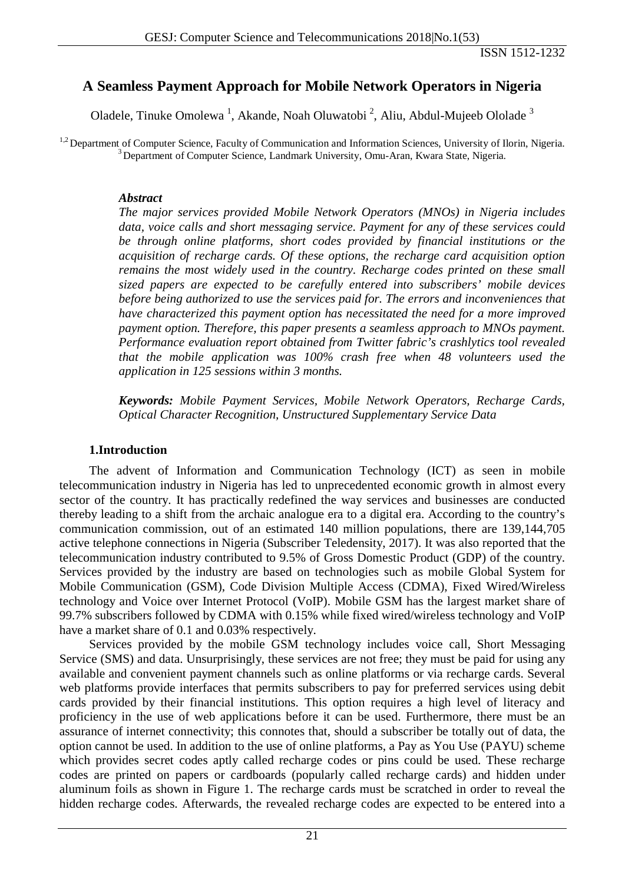# **A Seamless Payment Approach for Mobile Network Operators in Nigeria**

Oladele, Tinuke Omolewa<sup>1</sup>, Akande, Noah Oluwatobi<sup>2</sup>, Aliu, Abdul-Mujeeb Ololade<sup>3</sup>

<sup>1,2</sup> Department of Computer Science, Faculty of Communication and Information Sciences, University of Ilorin, Nigeria. <sup>3</sup> Department of Computer Science, Landmark University, Omu-Aran, Kwara State, Nigeria.

#### *Abstract*

*The major services provided Mobile Network Operators (MNOs) in Nigeria includes data, voice calls and short messaging service. Payment for any of these services could be through online platforms, short codes provided by financial institutions or the acquisition of recharge cards. Of these options, the recharge card acquisition option remains the most widely used in the country. Recharge codes printed on these small sized papers are expected to be carefully entered into subscribers' mobile devices before being authorized to use the services paid for. The errors and inconveniences that have characterized this payment option has necessitated the need for a more improved payment option. Therefore, this paper presents a seamless approach to MNOs payment. Performance evaluation report obtained from Twitter fabric's crashlytics tool revealed that the mobile application was 100% crash free when 48 volunteers used the application in 125 sessions within 3 months.*

*Keywords: Mobile Payment Services, Mobile Network Operators, Recharge Cards, Optical Character Recognition, Unstructured Supplementary Service Data*

#### **1.Introduction**

The advent of Information and Communication Technology (ICT) as seen in mobile telecommunication industry in Nigeria has led to unprecedented economic growth in almost every sector of the country. It has practically redefined the way services and businesses are conducted thereby leading to a shift from the archaic analogue era to a digital era. According to the country's communication commission, out of an estimated 140 million populations, there are 139,144,705 active telephone connections in Nigeria (Subscriber Teledensity, 2017). It was also reported that the telecommunication industry contributed to 9.5% of Gross Domestic Product (GDP) of the country. Services provided by the industry are based on technologies such as mobile Global System for Mobile Communication (GSM), Code Division Multiple Access (CDMA), Fixed Wired/Wireless technology and Voice over Internet Protocol (VoIP). Mobile GSM has the largest market share of 99.7% subscribers followed by CDMA with 0.15% while fixed wired/wireless technology and VoIP have a market share of 0.1 and 0.03% respectively.

Services provided by the mobile GSM technology includes voice call, Short Messaging Service (SMS) and data. Unsurprisingly, these services are not free; they must be paid for using any available and convenient payment channels such as online platforms or via recharge cards. Several web platforms provide interfaces that permits subscribers to pay for preferred services using debit cards provided by their financial institutions. This option requires a high level of literacy and proficiency in the use of web applications before it can be used. Furthermore, there must be an assurance of internet connectivity; this connotes that, should a subscriber be totally out of data, the option cannot be used. In addition to the use of online platforms, a Pay as You Use (PAYU) scheme which provides secret codes aptly called recharge codes or pins could be used. These recharge codes are printed on papers or cardboards (popularly called recharge cards) and hidden under aluminum foils as shown in Figure 1. The recharge cards must be scratched in order to reveal the hidden recharge codes. Afterwards, the revealed recharge codes are expected to be entered into a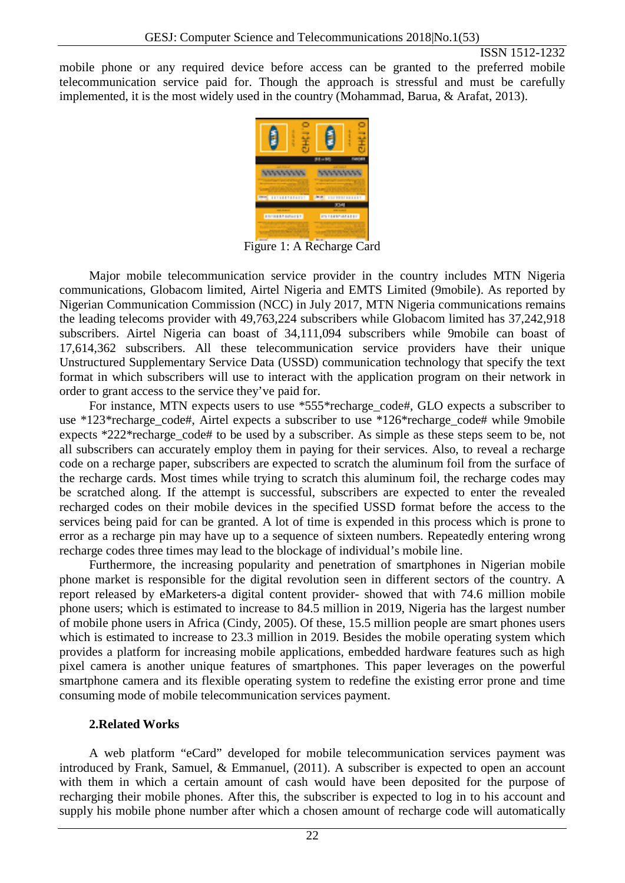mobile phone or any required device before access can be granted to the preferred mobile telecommunication service paid for. Though the approach is stressful and must be carefully implemented, it is the most widely used in the country (Mohammad, Barua, & Arafat, 2013).



Figure 1: A Recharge Card

Major mobile telecommunication service provider in the country includes MTN Nigeria communications, Globacom limited, Airtel Nigeria and EMTS Limited (9mobile). As reported by Nigerian Communication Commission (NCC) in July 2017, MTN Nigeria communications remains the leading telecoms provider with 49,763,224 subscribers while Globacom limited has 37,242,918 subscribers. Airtel Nigeria can boast of 34,111,094 subscribers while 9mobile can boast of 17,614,362 subscribers. All these telecommunication service providers have their unique Unstructured Supplementary Service Data (USSD) communication technology that specify the text format in which subscribers will use to interact with the application program on their network in order to grant access to the service they've paid for.

For instance, MTN expects users to use \*555\*recharge\_code#, GLO expects a subscriber to use \*123\*recharge\_code#, Airtel expects a subscriber to use \*126\*recharge code# while 9mobile expects \*222\*recharge\_code# to be used by a subscriber. As simple as these steps seem to be, not all subscribers can accurately employ them in paying for their services. Also, to reveal a recharge code on a recharge paper, subscribers are expected to scratch the aluminum foil from the surface of the recharge cards. Most times while trying to scratch this aluminum foil, the recharge codes may be scratched along. If the attempt is successful, subscribers are expected to enter the revealed recharged codes on their mobile devices in the specified USSD format before the access to the services being paid for can be granted. A lot of time is expended in this process which is prone to error as a recharge pin may have up to a sequence of sixteen numbers. Repeatedly entering wrong recharge codes three times may lead to the blockage of individual's mobile line.

Furthermore, the increasing popularity and penetration of smartphones in Nigerian mobile phone market is responsible for the digital revolution seen in different sectors of the country. A report released by eMarketers-a digital content provider- showed that with 74.6 million mobile phone users; which is estimated to increase to 84.5 million in 2019, Nigeria has the largest number of mobile phone users in Africa (Cindy, 2005). Of these, 15.5 million people are smart phones users which is estimated to increase to 23.3 million in 2019. Besides the mobile operating system which provides a platform for increasing mobile applications, embedded hardware features such as high pixel camera is another unique features of smartphones. This paper leverages on the powerful smartphone camera and its flexible operating system to redefine the existing error prone and time consuming mode of mobile telecommunication services payment.

### **2.Related Works**

A web platform "eCard" developed for mobile telecommunication services payment was introduced by Frank, Samuel, & Emmanuel, (2011). A subscriber is expected to open an account with them in which a certain amount of cash would have been deposited for the purpose of recharging their mobile phones. After this, the subscriber is expected to log in to his account and supply his mobile phone number after which a chosen amount of recharge code will automatically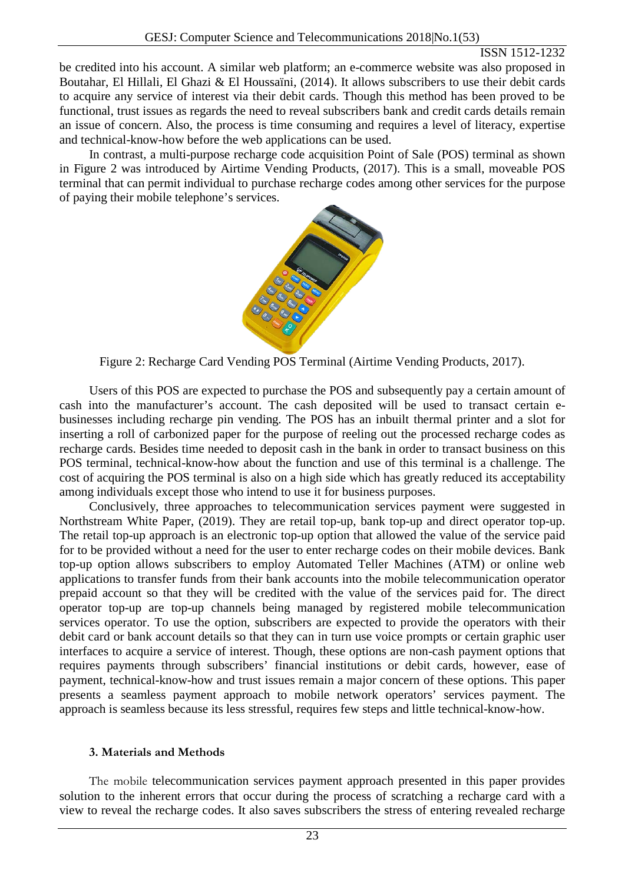be credited into his account. A similar web platform; an e-commerce website was also proposed in Boutahar, El Hillali, El Ghazi & El Houssaïni, (2014). It allows subscribers to use their debit cards to acquire any service of interest via their debit cards. Though this method has been proved to be functional, trust issues as regards the need to reveal subscribers bank and credit cards details remain an issue of concern. Also, the process is time consuming and requires a level of literacy, expertise and technical-know-how before the web applications can be used.

In contrast, a multi-purpose recharge code acquisition Point of Sale (POS) terminal as shown in Figure 2 was introduced by Airtime Vending Products, (2017). This is a small, moveable POS terminal that can permit individual to purchase recharge codes among other services for the purpose of paying their mobile telephone's services.



Figure 2: Recharge Card Vending POS Terminal (Airtime Vending Products, 2017).

Users of this POS are expected to purchase the POS and subsequently pay a certain amount of cash into the manufacturer's account. The cash deposited will be used to transact certain ebusinesses including recharge pin vending. The POS has an inbuilt thermal printer and a slot for inserting a roll of carbonized paper for the purpose of reeling out the processed recharge codes as recharge cards. Besides time needed to deposit cash in the bank in order to transact business on this POS terminal, technical-know-how about the function and use of this terminal is a challenge. The cost of acquiring the POS terminal is also on a high side which has greatly reduced its acceptability among individuals except those who intend to use it for business purposes.

Conclusively, three approaches to telecommunication services payment were suggested in Northstream White Paper, (2019). They are retail top-up, bank top-up and direct operator top-up. The retail top-up approach is an electronic top-up option that allowed the value of the service paid for to be provided without a need for the user to enter recharge codes on their mobile devices. Bank top-up option allows subscribers to employ Automated Teller Machines (ATM) or online web applications to transfer funds from their bank accounts into the mobile telecommunication operator prepaid account so that they will be credited with the value of the services paid for. The direct operator top-up are top-up channels being managed by registered mobile telecommunication services operator. To use the option, subscribers are expected to provide the operators with their debit card or bank account details so that they can in turn use voice prompts or certain graphic user interfaces to acquire a service of interest. Though, these options are non-cash payment options that requires payments through subscribers' financial institutions or debit cards, however, ease of payment, technical-know-how and trust issues remain a major concern of these options. This paper presents a seamless payment approach to mobile network operators' services payment. The approach is seamless because its less stressful, requires few steps and little technical-know-how.

### **3. Materials and Methods**

The mobile telecommunication services payment approach presented in this paper provides solution to the inherent errors that occur during the process of scratching a recharge card with a view to reveal the recharge codes. It also saves subscribers the stress of entering revealed recharge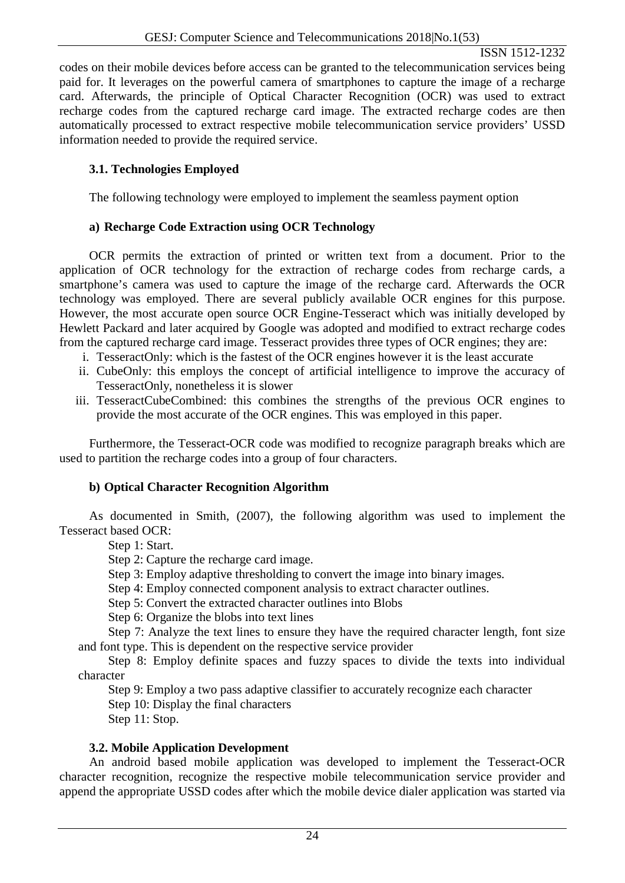codes on their mobile devices before access can be granted to the telecommunication services being paid for. It leverages on the powerful camera of smartphones to capture the image of a recharge card. Afterwards, the principle of Optical Character Recognition (OCR) was used to extract recharge codes from the captured recharge card image. The extracted recharge codes are then automatically processed to extract respective mobile telecommunication service providers' USSD information needed to provide the required service.

## **3.1. Technologies Employed**

The following technology were employed to implement the seamless payment option

### **a) Recharge Code Extraction using OCR Technology**

OCR permits the extraction of printed or written text from a document. Prior to the application of OCR technology for the extraction of recharge codes from recharge cards, a smartphone's camera was used to capture the image of the recharge card. Afterwards the OCR technology was employed. There are several publicly available OCR engines for this purpose. However, the most accurate open source OCR Engine-Tesseract which was initially developed by Hewlett Packard and later acquired by Google was adopted and modified to extract recharge codes from the captured recharge card image. Tesseract provides three types of OCR engines; they are:

- i. TesseractOnly: which is the fastest of the OCR engines however it is the least accurate
- ii. CubeOnly: this employs the concept of artificial intelligence to improve the accuracy of TesseractOnly, nonetheless it is slower
- iii. TesseractCubeCombined: this combines the strengths of the previous OCR engines to provide the most accurate of the OCR engines. This was employed in this paper.

Furthermore, the Tesseract-OCR code was modified to recognize paragraph breaks which are used to partition the recharge codes into a group of four characters.

### **b) Optical Character Recognition Algorithm**

As documented in Smith, (2007), the following algorithm was used to implement the Tesseract based OCR:

Step 1: Start.

Step 2: Capture the recharge card image.

Step 3: Employ adaptive thresholding to convert the image into binary images.

Step 4: Employ connected component analysis to extract character outlines.

Step 5: Convert the extracted character outlines into Blobs

Step 6: Organize the blobs into text lines

Step 7: Analyze the text lines to ensure they have the required character length, font size and font type. This is dependent on the respective service provider

Step 8: Employ definite spaces and fuzzy spaces to divide the texts into individual character

Step 9: Employ a two pass adaptive classifier to accurately recognize each character

Step 10: Display the final characters

Step 11: Stop.

#### **3.2. Mobile Application Development**

An android based mobile application was developed to implement the Tesseract-OCR character recognition, recognize the respective mobile telecommunication service provider and append the appropriate USSD codes after which the mobile device dialer application was started via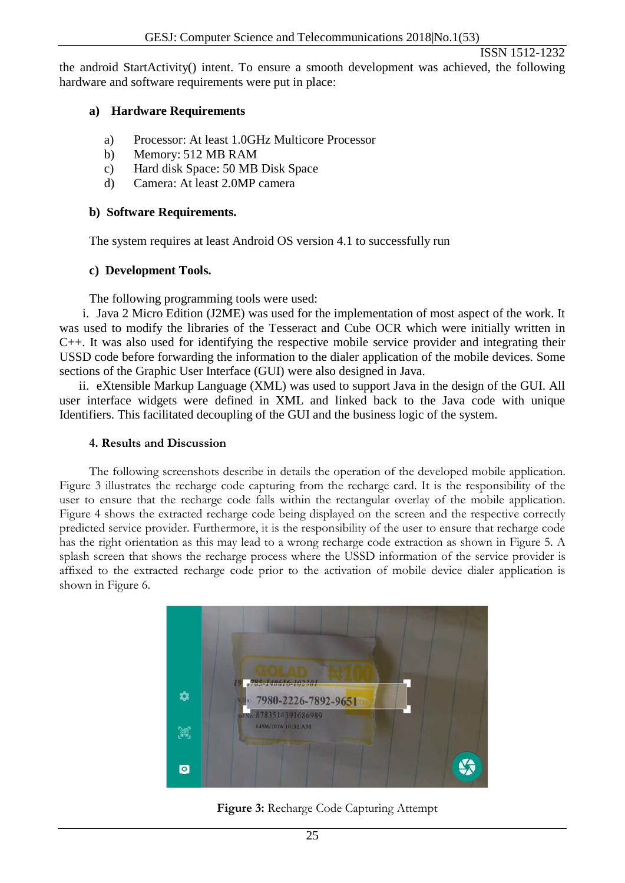the android StartActivity() intent. To ensure a smooth development was achieved, the following hardware and software requirements were put in place:

### **a) Hardware Requirements**

- a) Processor: At least 1.0GHz Multicore Processor
- b) Memory: 512 MB RAM
- c) Hard disk Space: 50 MB Disk Space
- d) Camera: At least 2.0MP camera

#### **b) Software Requirements.**

The system requires at least Android OS version 4.1 to successfully run

### **c) Development Tools.**

The following programming tools were used:

i. Java 2 Micro Edition (J2ME) was used for the implementation of most aspect of the work. It was used to modify the libraries of the Tesseract and Cube OCR which were initially written in C++. It was also used for identifying the respective mobile service provider and integrating their USSD code before forwarding the information to the dialer application of the mobile devices. Some sections of the Graphic User Interface (GUI) were also designed in Java.

ii. eXtensible Markup Language (XML) was used to support Java in the design of the GUI. All user interface widgets were defined in XML and linked back to the Java code with unique Identifiers. This facilitated decoupling of the GUI and the business logic of the system.

#### **4. Results and Discussion**

The following screenshots describe in details the operation of the developed mobile application. Figure 3 illustrates the recharge code capturing from the recharge card. It is the responsibility of the user to ensure that the recharge code falls within the rectangular overlay of the mobile application. Figure 4 shows the extracted recharge code being displayed on the screen and the respective correctly predicted service provider. Furthermore, it is the responsibility of the user to ensure that recharge code has the right orientation as this may lead to a wrong recharge code extraction as shown in Figure 5. A splash screen that shows the recharge process where the USSD information of the service provider is affixed to the extracted recharge code prior to the activation of mobile device dialer application is shown in Figure 6.



**Figure 3:** Recharge Code Capturing Attempt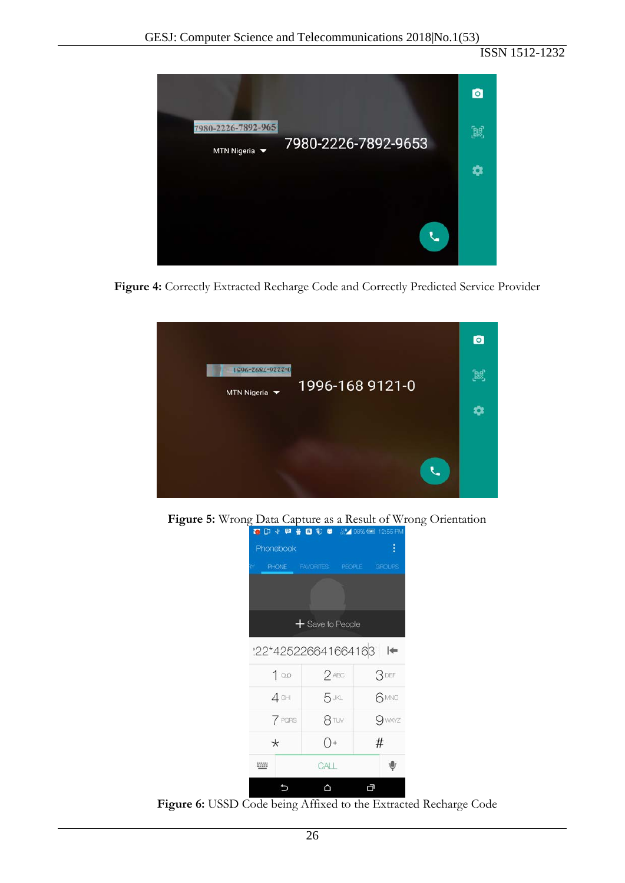ISSN 1512-1232



**Figure 4:** Correctly Extracted Recharge Code and Correctly Predicted Service Provider



**Figure 5:** Wrong Data Capture as a Result of Wrong Orientation



**Figure 6:** USSD Code being Affixed to the Extracted Recharge Code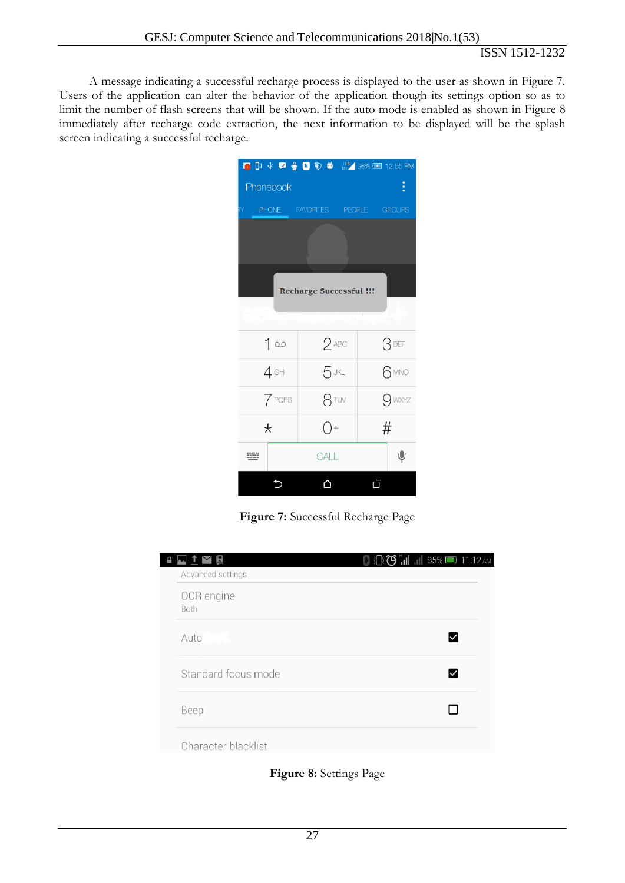A message indicating a successful recharge process is displayed to the user as shown in Figure 7. Users of the application can alter the behavior of the application though its settings option so as to limit the number of flash screens that will be shown. If the auto mode is enabled as shown in Figure 8 immediately after recharge code extraction, the next information to be displayed will be the splash screen indicating a successful recharge.

|                                |              | <b>6 D → 甲 参 B + → B → B → 98% E 12:55 PM</b> |  |                    |               |  |
|--------------------------------|--------------|-----------------------------------------------|--|--------------------|---------------|--|
| $\vdots$<br>Phonebook          |              |                                               |  |                    |               |  |
| ľΥ                             | <b>PHONE</b> | <b>FAVORITES</b>                              |  | PEOPLE <b>1999</b> | <b>GROUPS</b> |  |
|                                |              |                                               |  |                    |               |  |
| <b>Recharge Successful !!!</b> |              |                                               |  |                    |               |  |
|                                |              |                                               |  |                    |               |  |
|                                | 100          | $2$ ABC                                       |  |                    | 3DEF          |  |
|                                | $4$ GHI      | $5$ JKL                                       |  |                    | 6 MNO         |  |
|                                | 7 PQRS       | 8 TUV                                         |  |                    | 9 wxyz        |  |
|                                | $\star$      | $()+$                                         |  | #                  |               |  |
| ₩                              |              | CALL                                          |  |                    | ψ             |  |
|                                |              |                                               |  | 口                  |               |  |

**Figure 7:** Successful Recharge Page

 $\overline{\phantom{a}}$ 

| 囻                   | $\frac{1}{1}$ $\ $ 85% 11:12 AM<br>行<br>得 |
|---------------------|-------------------------------------------|
| Advanced settings   |                                           |
| OCR engine<br>Both  |                                           |
| Auto                |                                           |
| Standard focus mode |                                           |
| Beep                |                                           |
| Character blacklist |                                           |

**Figure 8:** Settings Page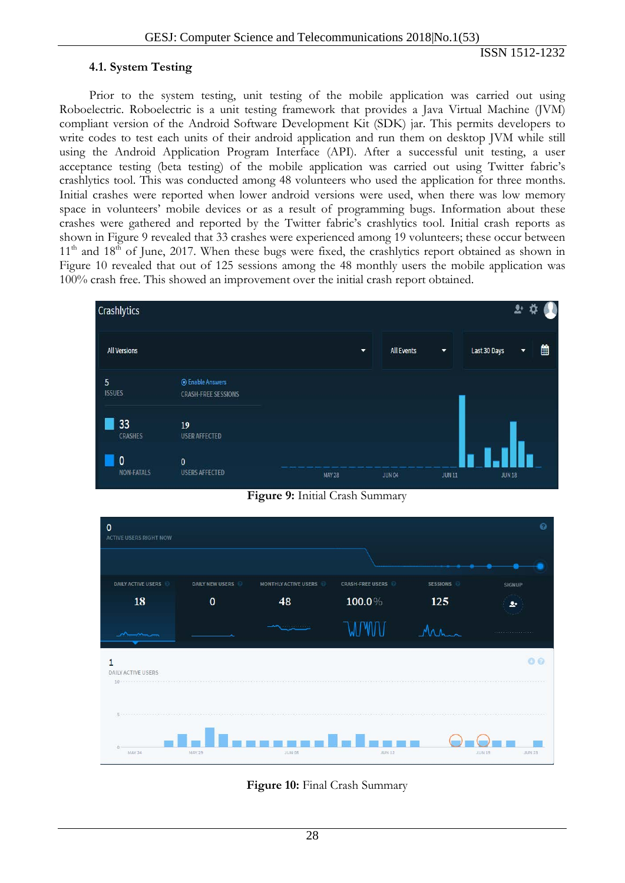#### **4.1. System Testing**

Prior to the system testing, unit testing of the mobile application was carried out using Roboelectric. Roboelectric is a unit testing framework that provides a Java Virtual Machine (JVM) compliant version of the Android Software Development Kit (SDK) jar. This permits developers to write codes to test each units of their android application and run them on desktop JVM while still using the Android Application Program Interface (API). After a successful unit testing, a user acceptance testing (beta testing) of the mobile application was carried out using Twitter fabric's crashlytics tool. This was conducted among 48 volunteers who used the application for three months. Initial crashes were reported when lower android versions were used, when there was low memory space in volunteers' mobile devices or as a result of programming bugs. Information about these crashes were gathered and reported by the Twitter fabric's crashlytics tool. Initial crash reports as shown in Figure 9 revealed that 33 crashes were experienced among 19 volunteers; these occur between  $11<sup>th</sup>$  and  $18<sup>th</sup>$  of June, 2017. When these bugs were fixed, the crashlytics report obtained as shown in Figure 10 revealed that out of 125 sessions among the 48 monthly users the mobile application was 100% crash free. This showed an improvement over the initial crash report obtained.



**Figure 9:** Initial Crash Summary



**Figure 10:** Final Crash Summary